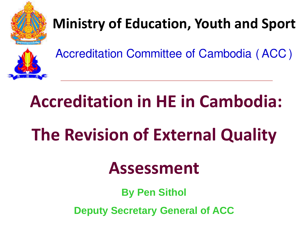

### **Ministry of Education, Youth and Sport**

Accreditation Committee of Cambodia (ACC)

## **Accreditation in HE in Cambodia:**

# **The Revision of External Quality**

### **Assessment**

**By Pen Sithol**

**Deputy Secretary General of ACC**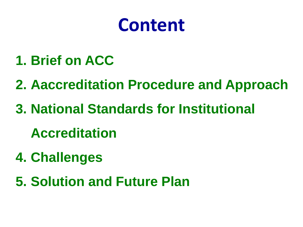## **Content**

- **1. Brief on ACC**
- **2. Aaccreditation Procedure and Approach**
- **3. National Standards for Institutional**

**Accreditation**

- **4. Challenges**
- **5. Solution and Future Plan**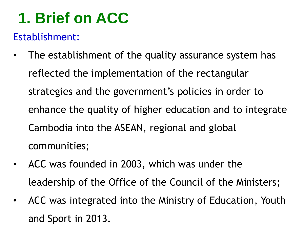### **1. Brief on ACC**

#### Establishment:

- The establishment of the quality assurance system has reflected the implementation of the rectangular strategies and the government's policies in order to enhance the quality of higher education and to integrate Cambodia into the ASEAN, regional and global communities;
- ACC was founded in 2003, which was under the leadership of the Office of the Council of the Ministers;
- ACC was integrated into the Ministry of Education, Youth and Sport in 2013.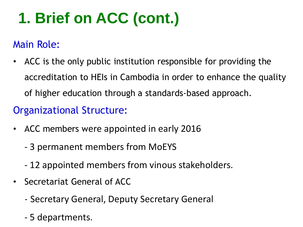## **1. Brief on ACC (cont.)**

#### Main Role:

• ACC is the only public institution responsible for providing the accreditation to HEIs in Cambodia in order to enhance the quality of higher education through a standards-based approach.

#### Organizational Structure:

- ACC members were appointed in early 2016
	- 3 permanent members from MoEYS
	- 12 appointed members from vinous stakeholders.
- Secretariat General of ACC
	- Secretary General, Deputy Secretary General
	- 5 departments.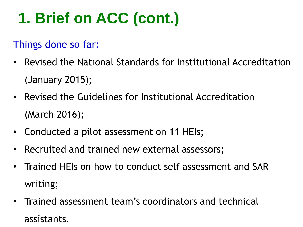## **1. Brief on ACC (cont.)**

#### Things done so far:

- Revised the National Standards for Institutional Accreditation (January 2015);
- Revised the Guidelines for Institutional Accreditation (March 2016);
- Conducted a pilot assessment on 11 HEIs;
- Recruited and trained new external assessors;
- Trained HEIs on how to conduct self assessment and SAR writing;
- Trained assessment team's coordinators and technical assistants.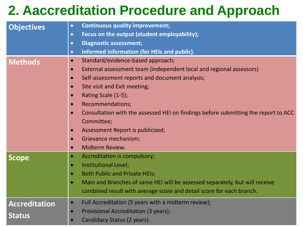### **2. Aaccreditation Procedure and Approach**

|                      | <b>Continuous quality improvement;</b><br>$\bullet$                                      |  |  |
|----------------------|------------------------------------------------------------------------------------------|--|--|
| <b>Objectives</b>    | Focus on the output (student employability);<br>$\bullet$                                |  |  |
|                      |                                                                                          |  |  |
|                      | <b>Diagnostic assessment;</b><br>$\bullet$                                               |  |  |
|                      | Informed information (for HEIs and public).<br>$\bullet$                                 |  |  |
| <b>Methods</b>       | Standard/evidence-based approach;<br>$\bullet$                                           |  |  |
|                      | External assessment team (independent local and regional assessors)<br>$\bullet$         |  |  |
|                      | Self-assessment reports and document analysis;<br>$\bullet$                              |  |  |
|                      | Site visit and Exit meeting;<br>$\bullet$                                                |  |  |
|                      | Rating Scale (1-5);                                                                      |  |  |
|                      | <b>Recommendations;</b><br>$\bullet$                                                     |  |  |
|                      | Consultation with the assessed HEI on findings before submitting the report to ACC       |  |  |
|                      | Committee;                                                                               |  |  |
|                      | Assessment Report is publicized;                                                         |  |  |
|                      | Grievance mechanism;                                                                     |  |  |
|                      | Midterm Review.<br>$\bullet$                                                             |  |  |
| <b>Scope</b>         | Accreditation is compulsory;<br>۰                                                        |  |  |
|                      | Institutional Level;<br>$\bullet$                                                        |  |  |
|                      | <b>Both Public and Private HEIs;</b><br>$\bullet$                                        |  |  |
|                      | Main and Branches of same HEI will be assessed separately, but will receive<br>$\bullet$ |  |  |
|                      | combined result with average score and detail score for each branch.                     |  |  |
|                      |                                                                                          |  |  |
| <b>Accreditation</b> | Full Accreditation (5 years with a midterm review);<br>$\bullet$                         |  |  |
|                      | Provisional Accreditation (3 years);<br>$\bullet$                                        |  |  |
| <b>Status</b>        | <b>Candidacy Status (2 years)</b><br>$\bullet$                                           |  |  |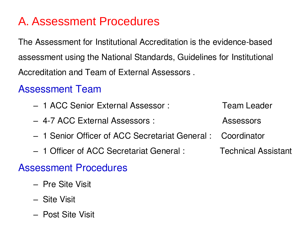#### A. Assessment Procedures

The Assessment for Institutional Accreditation is the evidence-based assessment using the National Standards, Guidelines for Institutional Accreditation and Team of External Assessors .

#### Assessment Team

- 1 ACC Senior External Assessor : Team Leader
- 4-7 ACC External Assessors : Assessors
- 1 Senior Officer of ACC Secretariat General : Coordinator
- 1 Officer of ACC Secretariat General : Technical Assistant

#### Assessment Procedures

- Pre Site Visit
- Site Visit
- Post Site Visit
- 
- 
- -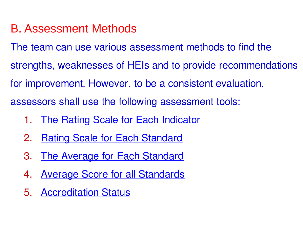#### B. Assessment Methods

The team can use various assessment methods to find the strengths, weaknesses of HEIs and to provide recommendations for improvement. However, to be a consistent evaluation, assessors shall use the following assessment tools:

- 1. [The Rating Scale for Each Indicator](rating for indicator.pdf)
- 2. [Rating Scale for Each Standard](rating for standard.pdf)
- 3. [The Average for Each Standard](average.pdf)
- 4. [Average Score for all Standards](rating for all standards.pdf)
- 5. [Accreditation Status](accreditation status.pdf)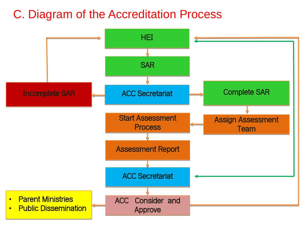#### C. Diagram of the Accreditation Process

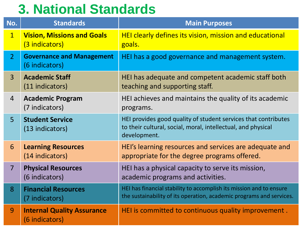### **3. National Standards**

| No.            | <b>Standards</b>                                    | <b>Main Purposes</b>                                                                                                                           |
|----------------|-----------------------------------------------------|------------------------------------------------------------------------------------------------------------------------------------------------|
| $\overline{1}$ | <b>Vision, Missions and Goals</b><br>(3 indicators) | HEI clearly defines its vision, mission and educational<br>goals.                                                                              |
| $\overline{2}$ | <b>Governance and Management</b><br>(6 indicators)  | HEI has a good governance and management system.                                                                                               |
| $\overline{3}$ | <b>Academic Staff</b><br>(11 indicators)            | HEI has adequate and competent academic staff both<br>teaching and supporting staff.                                                           |
| $\overline{4}$ | <b>Academic Program</b><br>(7 indicators)           | HEI achieves and maintains the quality of its academic<br>programs.                                                                            |
| $\overline{5}$ | <b>Student Service</b><br>(13 indicators)           | HEI provides good quality of student services that contributes<br>to their cultural, social, moral, intellectual, and physical<br>development. |
| 6              | <b>Learning Resources</b><br>(14 indicators)        | HEI's learning resources and services are adequate and<br>appropriate for the degree programs offered.                                         |
| $\overline{7}$ | <b>Physical Resources</b><br>(6 indicators)         | HEI has a physical capacity to serve its mission,<br>academic programs and activities.                                                         |
| 8              | <b>Financial Resources</b><br>(7 indicators)        | HEI has financial stability to accomplish its mission and to ensure<br>the sustainability of its operation, academic programs and services.    |
| 9              | <b>Internal Quality Assurance</b><br>(6 indicators) | HEI is committed to continuous quality improvement.                                                                                            |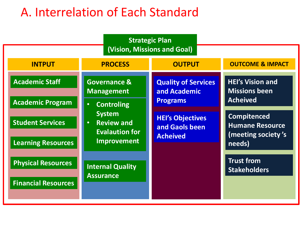### A. Interrelation of Each Standard

|                                                         | <b>Strategic Plan</b>                                                                                                     |                                                               |                                                                              |  |  |  |
|---------------------------------------------------------|---------------------------------------------------------------------------------------------------------------------------|---------------------------------------------------------------|------------------------------------------------------------------------------|--|--|--|
| (Vision, Missions and Goal)                             |                                                                                                                           |                                                               |                                                                              |  |  |  |
| <b>INTPUT</b>                                           | <b>PROCESS</b>                                                                                                            | <b>OUTPUT</b>                                                 | <b>OUTCOME &amp; IMPACT</b>                                                  |  |  |  |
| <b>Academic Staff</b><br><b>Academic Program</b>        | <b>Governance &amp;</b><br><b>Management</b>                                                                              | <b>Quality of Services</b><br>and Academic<br><b>Programs</b> | <b>HEI's Vision and</b><br><b>Missions been</b><br><b>Acheived</b>           |  |  |  |
| <b>Student Services</b><br><b>Learning Resources</b>    | <b>Controling</b><br>$\bullet$<br><b>System</b><br><b>Review and</b><br>$\bullet$<br><b>Evalaution for</b><br>Improvement | <b>HEI's Objectives</b><br>and Gaols been<br><b>Acheived</b>  | <b>Compitenced</b><br><b>Humane Resource</b><br>(meeting society's<br>needs) |  |  |  |
| <b>Physical Resources</b><br><b>Financial Resources</b> | <b>Internal Quality</b><br><b>Assurance</b>                                                                               |                                                               | <b>Trust from</b><br><b>Stakeholders</b>                                     |  |  |  |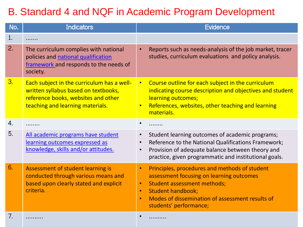#### B. Standard 4 and NQF in Academic Program Development

| No. | <b>Indicators</b>                                                                                                                                             | <b>Evidence</b>                                                                                                                                                                                                                                                                              |
|-----|---------------------------------------------------------------------------------------------------------------------------------------------------------------|----------------------------------------------------------------------------------------------------------------------------------------------------------------------------------------------------------------------------------------------------------------------------------------------|
| 1.  | .                                                                                                                                                             |                                                                                                                                                                                                                                                                                              |
| 2.  | The curriculum complies with national<br>policies and national qualification<br>framework and responds to the needs of<br>society.                            | Reports such as needs-analysis of the job market, tracer<br>$\bullet$<br>studies, curriculum evaluations and policy analysis.                                                                                                                                                                |
| 3.  | Each subject in the curriculum has a well-<br>written syllabus based on textbooks,<br>reference books, websites and other<br>teaching and learning materials. | Course outline for each subject in the curriculum<br>$\bullet$<br>indicating course description and objectives and student<br>learning outcomes;<br>References, websites, other teaching and learning<br>$\bullet$<br>materials.                                                             |
| 4.  |                                                                                                                                                               | $\bullet$                                                                                                                                                                                                                                                                                    |
| 5.  | All academic programs have student<br>learning outcomes expressed as<br>knowledge, skills and/or attitudes.                                                   | Student learning outcomes of academic programs;<br>$\bullet$<br>Reference to the National Qualifications Framework;<br>$\bullet$<br>Provision of adequate balance between theory and<br>$\bullet$<br>practice, given programmatic and institutional goals.                                   |
| 6.  | Assessment of student learning is<br>conducted through various means and<br>based upon clearly stated and explicit<br>criteria.                               | Principles, procedures and methods of student<br>$\bullet$<br>assessment focusing on learning outcomes<br><b>Student assessment methods;</b><br>$\bullet$<br><b>Student handbook;</b><br>$\bullet$<br>Modes of dissemination of assessment results of<br>$\bullet$<br>students' performance; |
| 7.  | .                                                                                                                                                             | .                                                                                                                                                                                                                                                                                            |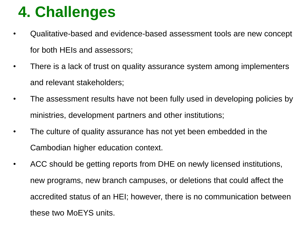### **4. Challenges**

- Qualitative-based and evidence-based assessment tools are new concept for both HEIs and assessors;
- There is a lack of trust on quality assurance system among implementers and relevant stakeholders;
- The assessment results have not been fully used in developing policies by ministries, development partners and other institutions;
- The culture of quality assurance has not yet been embedded in the Cambodian higher education context.
- ACC should be getting reports from DHE on newly licensed institutions, new programs, new branch campuses, or deletions that could affect the accredited status of an HEI; however, there is no communication between these two MoEYS units.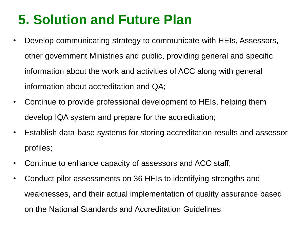### **5. Solution and Future Plan**

- Develop communicating strategy to communicate with HEIs, Assessors, other government Ministries and public, providing general and specific information about the work and activities of ACC along with general information about accreditation and QA;
- Continue to provide professional development to HEIs, helping them develop IQA system and prepare for the accreditation;
- Establish data-base systems for storing accreditation results and assessor profiles;
- Continue to enhance capacity of assessors and ACC staff;
- Conduct pilot assessments on 36 HEIs to identifying strengths and weaknesses, and their actual implementation of quality assurance based on the National Standards and Accreditation Guidelines.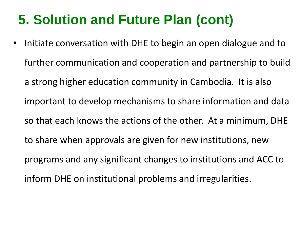### **5. Solution and Future Plan (cont)**

• Initiate conversation with DHE to begin an open dialogue and to further communication and cooperation and partnership to build a strong higher education community in Cambodia. It is also important to develop mechanisms to share information and data so that each knows the actions of the other. At a minimum, DHE to share when approvals are given for new institutions, new programs and any significant changes to institutions and ACC to inform DHE on institutional problems and irregularities.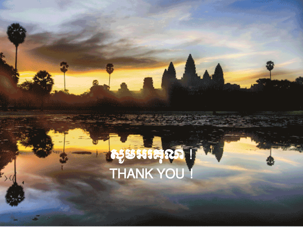## $\mathfrak{G}$ មអរគុ $\mathfrak{G}$  ! ! THANK YOU !

L

j